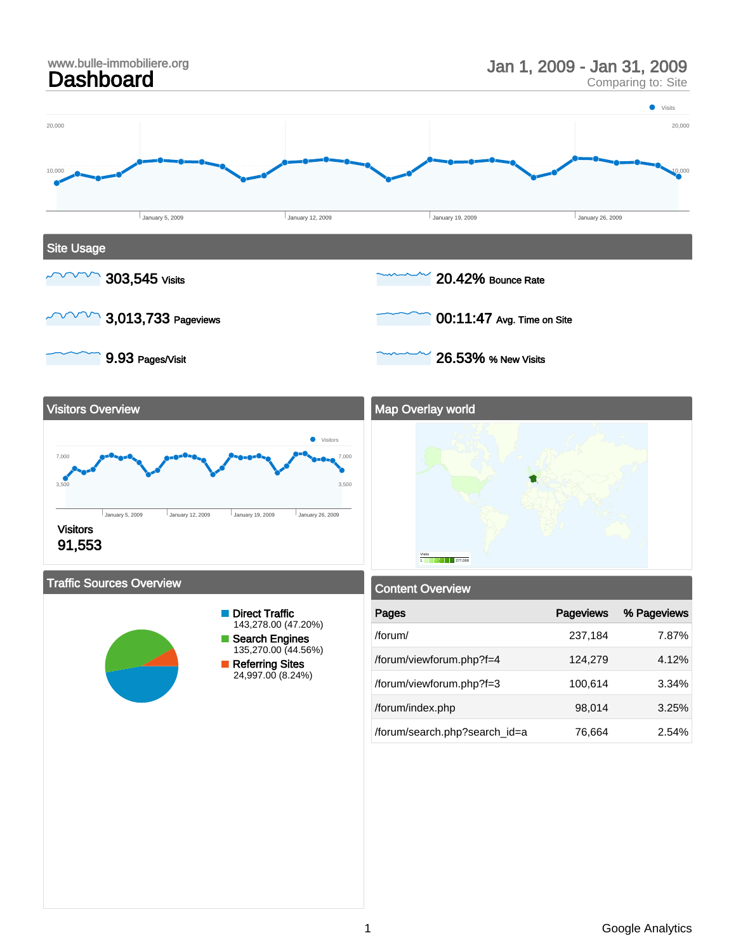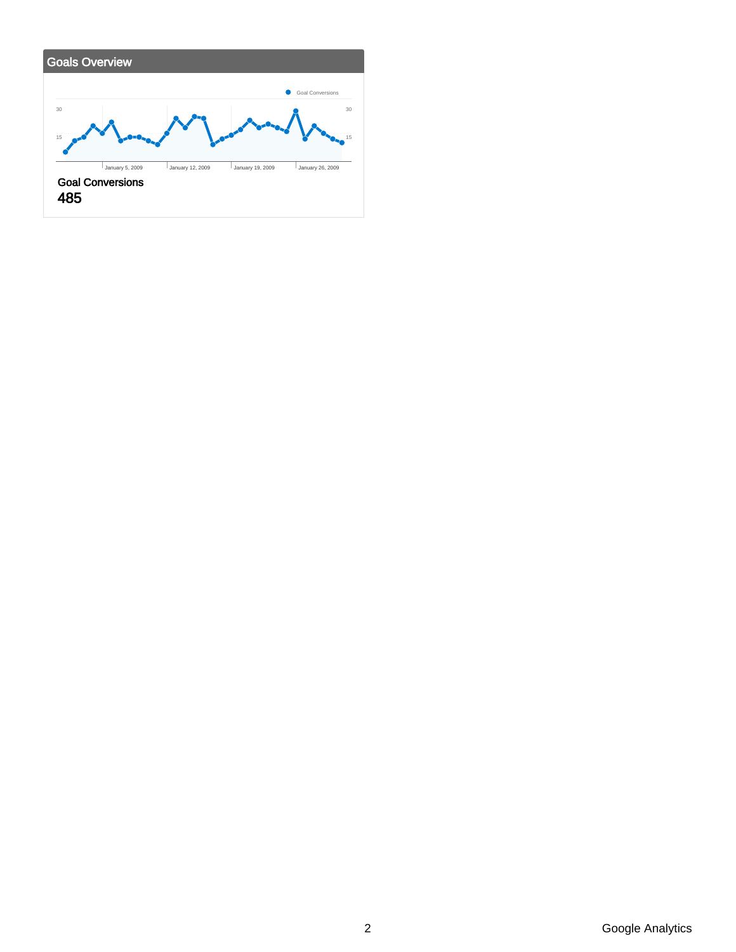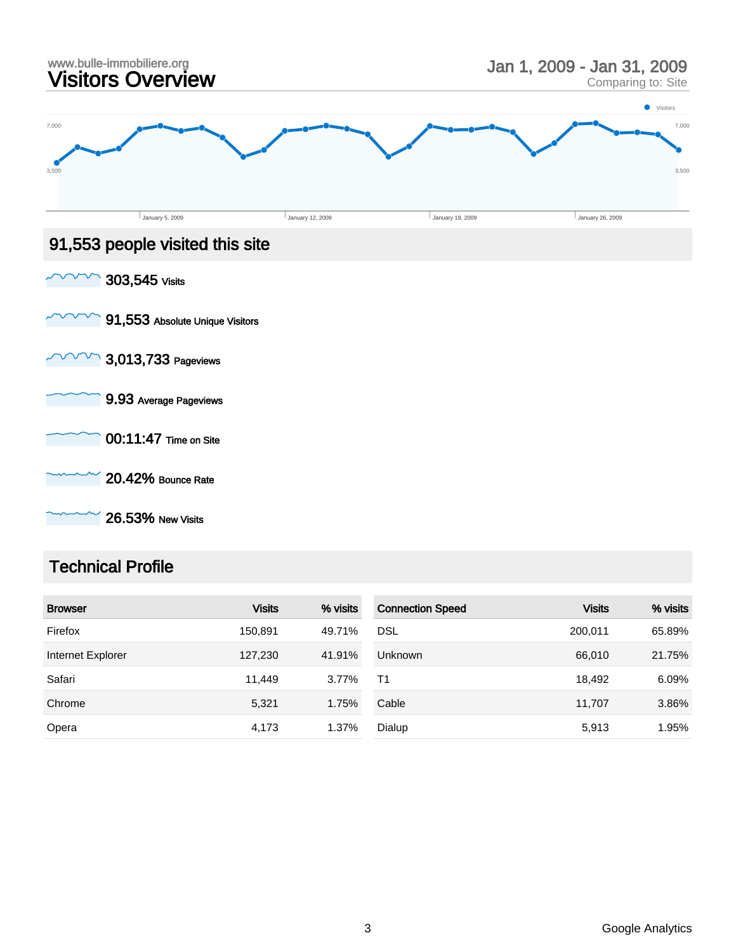

26.53% New Visits

### Technical Profile

| <b>Browser</b>    | <b>Visits</b> | % visits | <b>Connection Speed</b> | <b>Visits</b> | % visits |
|-------------------|---------------|----------|-------------------------|---------------|----------|
| Firefox           | 150,891       | 49.71%   | <b>DSL</b>              | 200.011       | 65.89%   |
| Internet Explorer | 127,230       | 41.91%   | <b>Unknown</b>          | 66,010        | 21.75%   |
| Safari            | 11.449        | 3.77%    | T1                      | 18,492        | 6.09%    |
| Chrome            | 5,321         | 1.75%    | Cable                   | 11.707        | 3.86%    |
| Opera             | 4,173         | 1.37%    | Dialup                  | 5,913         | 1.95%    |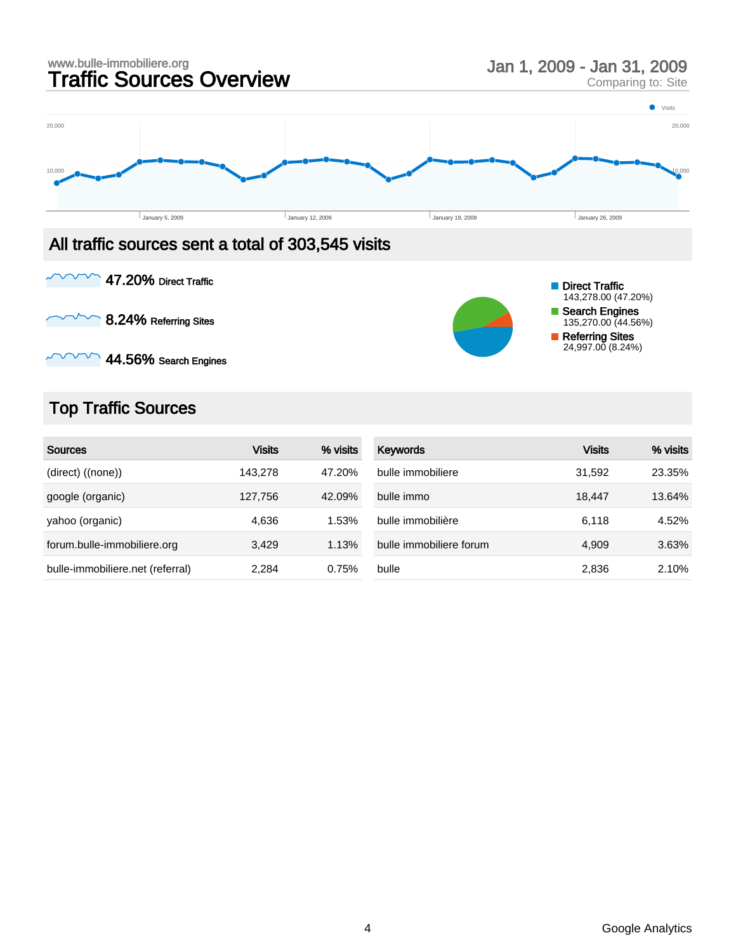

8.24% Referring Sites



 $\sim$  44.56% Search Engines

## Top Traffic Sources

| <b>Sources</b>                   | <b>Visits</b> | % visits | <b>Keywords</b>         | Visits | % visits |
|----------------------------------|---------------|----------|-------------------------|--------|----------|
| (direct) ((none))                | 143.278       | 47.20%   | bulle immobiliere       | 31.592 | 23.35%   |
| google (organic)                 | 127.756       | 42.09%   | bulle immo              | 18.447 | 13.64%   |
| yahoo (organic)                  | 4.636         | 1.53%    | bulle immobilière       | 6.118  | 4.52%    |
| forum.bulle-immobiliere.org      | 3,429         | 1.13%    | bulle immobiliere forum | 4.909  | 3.63%    |
| bulle-immobiliere.net (referral) | 2.284         | 0.75%    | bulle                   | 2,836  | 2.10%    |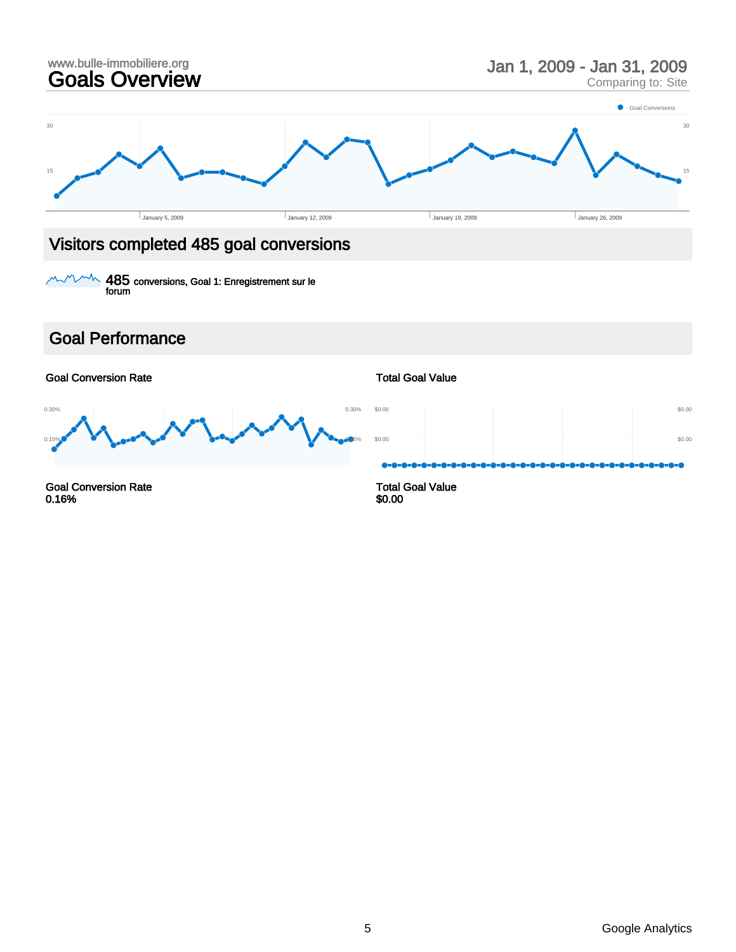

 $^{\sim\!{\prime\prime\!}{\sim}}$   $485$  conversions, Goal 1: Enregistrement sur le forum

### Goal Performance

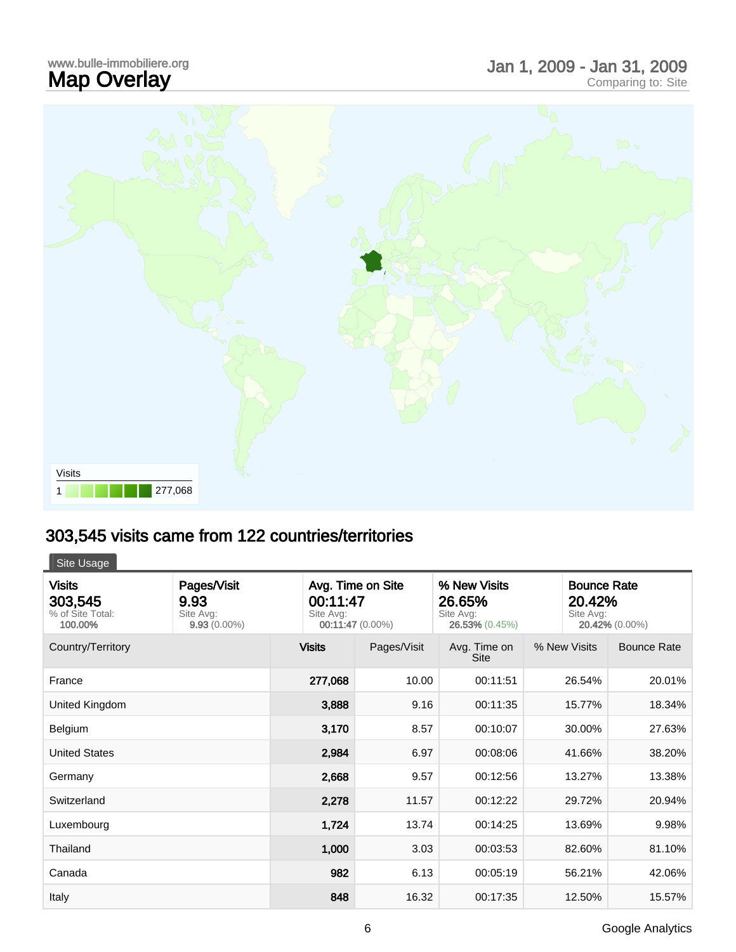## www.bulle-immobiliere.org<br>**Map Overlay** Map Overlay Jan 1, 2009 - Jan 31, 2009 Comparing to: Site



# 303,545 visits came from 122 countries/territories

Site Usage

| <b>Visits</b><br>303,545<br>% of Site Total:<br>100.00% | Pages/Visit<br>9.93<br>Site Avg:<br>$9.93(0.00\%)$ | Avg. Time on Site<br>00:11:47<br>Site Avg:<br>00:11:47 (0.00%) |             | % New Visits<br>26.65%<br>Site Avg:<br>26.53% (0.45%) | Site Avg:    | <b>Bounce Rate</b><br>20.42%<br>20.42% (0.00%) |  |
|---------------------------------------------------------|----------------------------------------------------|----------------------------------------------------------------|-------------|-------------------------------------------------------|--------------|------------------------------------------------|--|
| Country/Territory                                       |                                                    | <b>Visits</b>                                                  | Pages/Visit | Avg. Time on<br><b>Site</b>                           | % New Visits | <b>Bounce Rate</b>                             |  |
| France                                                  |                                                    | 277,068                                                        | 10.00       | 00:11:51                                              | 26.54%       | 20.01%                                         |  |
| United Kingdom                                          |                                                    | 3,888                                                          | 9.16        | 00:11:35                                              | 15.77%       | 18.34%                                         |  |
| Belgium                                                 |                                                    | 3,170                                                          | 8.57        | 00:10:07                                              | 30.00%       | 27.63%                                         |  |
| <b>United States</b>                                    |                                                    | 2,984                                                          | 6.97        | 00:08:06                                              | 41.66%       | 38.20%                                         |  |
| Germany                                                 |                                                    | 2,668                                                          | 9.57        | 00:12:56                                              | 13.27%       | 13.38%                                         |  |
| Switzerland                                             |                                                    | 2,278                                                          | 11.57       | 00:12:22                                              | 29.72%       | 20.94%                                         |  |
| Luxembourg                                              |                                                    | 1,724                                                          | 13.74       | 00:14:25                                              | 13.69%       | 9.98%                                          |  |
| Thailand                                                |                                                    | 1,000                                                          | 3.03        | 00:03:53                                              | 82.60%       | 81.10%                                         |  |
| Canada                                                  |                                                    | 982                                                            | 6.13        | 00:05:19                                              | 56.21%       | 42.06%                                         |  |
| Italy                                                   |                                                    | 848                                                            | 16.32       | 00:17:35                                              | 12.50%       | 15.57%                                         |  |